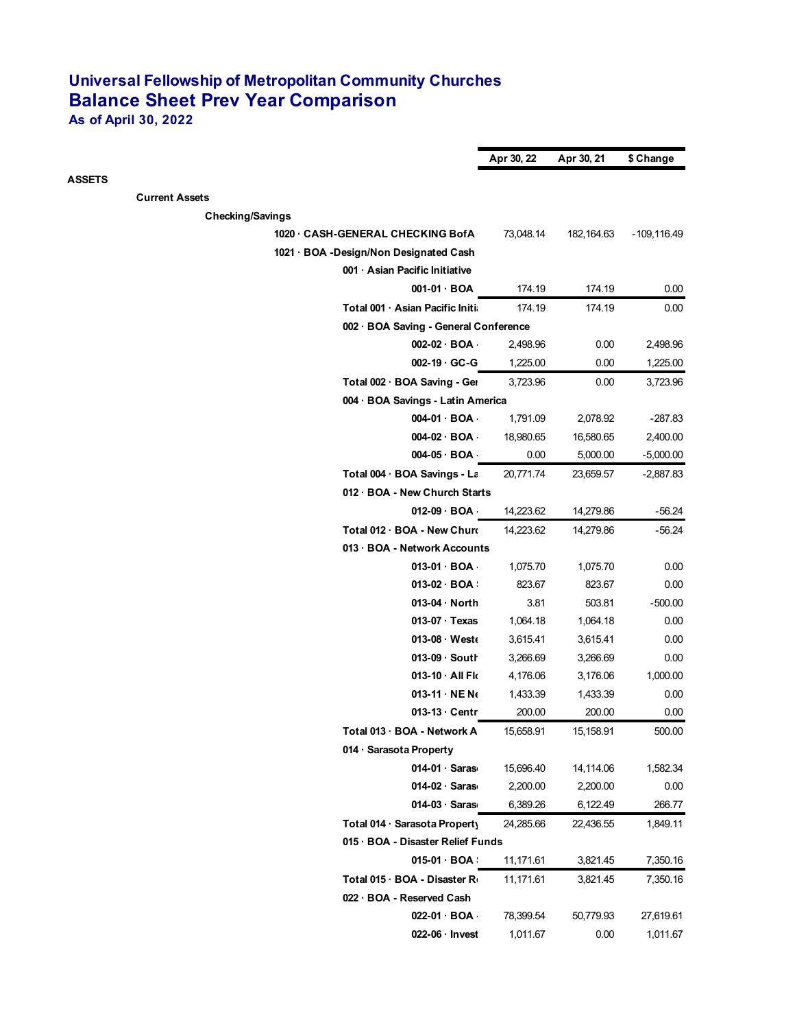## **Universal Fellowship of Metropolitan Community Churches Balance Sheet Prev Year Comparison**

**As of April 30, 2022**

|                                        | Apr 30, 22 | Apr 30, 21  | \$ Change   |
|----------------------------------------|------------|-------------|-------------|
| <b>ASSETS</b>                          |            |             |             |
| <b>Current Assets</b>                  |            |             |             |
| <b>Checking/Savings</b>                |            |             |             |
| 1020 CASH-GENERAL CHECKING BofA        | 73,048.14  | 182, 164.63 | -109,116.49 |
| 1021 · BOA -Design/Non Designated Cash |            |             |             |
| 001 · Asian Pacific Initiative         |            |             |             |
| $001-01 \cdot BOA$                     | 174.19     | 174.19      | 0.00        |
| Total 001 · Asian Pacific Initia       | 174.19     | 174.19      | 0.00        |
| 002 · BOA Saving - General Conference  |            |             |             |
| $002-02 \cdot BOA$                     | 2,498.96   | 0.00        | 2,498.96    |
| 002-19 GC-G                            | 1,225.00   | 0.00        | 1,225.00    |
| Total 002 · BOA Saving - Ger           | 3,723.96   | 0.00        | 3,723.96    |
| 004 · BOA Savings - Latin America      |            |             |             |
| $004-01$ BOA                           | 1,791.09   | 2,078.92    | $-287.83$   |
| $004-02$ BOA                           | 18,980.65  | 16,580.65   | 2,400.00    |
| $004-05 \cdot BOA$                     | 0.00       | 5,000.00    | $-5,000.00$ |
| Total 004 · BOA Savings - La           | 20,771.74  | 23,659.57   | $-2,887.83$ |
| 012 · BOA - New Church Starts          |            |             |             |
| $012-09$ BOA                           | 14,223.62  | 14,279.86   | $-56.24$    |
| Total 012 · BOA - New Churc            | 14,223.62  | 14,279.86   | $-56.24$    |
| 013 · BOA - Network Accounts           |            |             |             |
| $013-01$ BOA                           | 1,075.70   | 1,075.70    | 0.00        |
| $013-02$ BOA:                          | 823.67     | 823.67      | 0.00        |
| 013-04 North                           | 3.81       | 503.81      | $-500.00$   |
| 013-07 Texas                           | 1,064.18   | 1,064.18    | 0.00        |
| 013-08 West                            | 3,615.41   | 3,615.41    | 0.00        |
| 013-09 · South                         | 3,266.69   | 3,266.69    | 0.00        |
| 013-10 All Flo                         | 4,176.06   | 3,176.06    | 1,000.00    |
| $013-11 \cdot \text{NE N}$             | 1,433.39   | 1,433.39    | 0.00        |
| $013-13$ Centr                         | 200.00     | 200.00      | 0.00        |
| Total 013 · BOA - Network A            | 15,658.91  | 15,158.91   | 500.00      |
| 014 · Sarasota Property                |            |             |             |
| $014-01 \cdot$ Saras                   | 15,696.40  | 14,114.06   | 1,582.34    |
| $014-02 \cdot$ Saras                   | 2,200.00   | 2,200.00    | 0.00        |
| $014-03$ Saras                         | 6,389.26   | 6,122.49    | 266.77      |
| Total 014 · Sarasota Property          | 24,285.66  | 22,436.55   | 1,849.11    |
| 015 · BOA - Disaster Relief Funds      |            |             |             |
| $015-01$ BOA:                          | 11,171.61  | 3,821.45    | 7,350.16    |
| Total 015 · BOA - Disaster Ro          | 11,171.61  | 3,821.45    | 7,350.16    |
| 022 · BOA - Reserved Cash              |            |             |             |
| 022-01 BOA                             | 78,399.54  | 50,779.93   | 27,619.61   |
| 022-06 · Invest                        | 1,011.67   | 0.00        | 1,011.67    |
|                                        |            |             |             |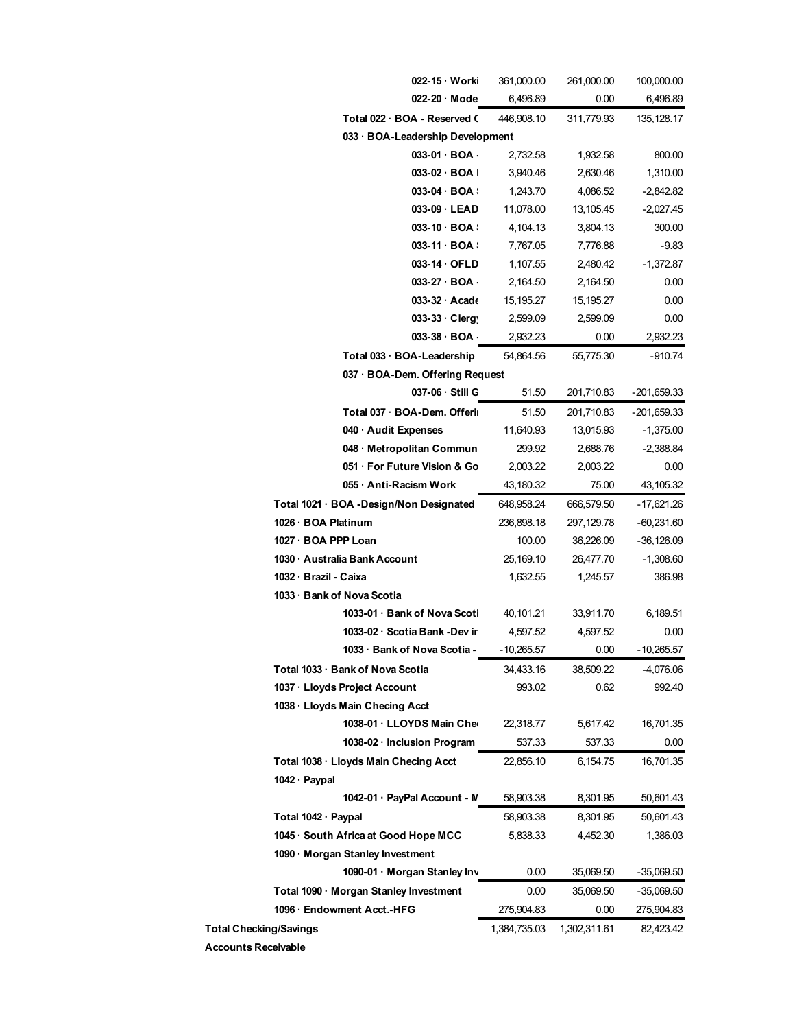|                               |                            | 022-15 Worki                             | 361,000.00   | 261,000.00   | 100,000.00    |
|-------------------------------|----------------------------|------------------------------------------|--------------|--------------|---------------|
|                               |                            | 022-20 Mode                              | 6,496.89     | 0.00         | 6,496.89      |
|                               |                            | Total 022 · BOA - Reserved C             | 446.908.10   | 311,779.93   | 135, 128.17   |
|                               |                            | 033 · BOA-Leadership Development         |              |              |               |
|                               |                            | $033-01 \cdot BOA$                       | 2,732.58     | 1,932.58     | 800.00        |
|                               |                            | 033-02 · BOA I                           | 3,940.46     | 2,630.46     | 1,310.00      |
|                               |                            | 033-04 BOA !                             | 1,243.70     | 4,086.52     | $-2,842.82$   |
|                               |                            | 033-09 LEAD                              | 11,078.00    | 13,105.45    | $-2,027.45$   |
|                               |                            | 033-10 BOA !                             | 4,104.13     | 3,804.13     | 300.00        |
|                               |                            | 033-11 BOA :                             | 7,767.05     | 7,776.88     | $-9.83$       |
|                               |                            | 033-14 OFLD                              | 1,107.55     | 2,480.42     | $-1,372.87$   |
|                               |                            | 033-27 BOA                               | 2,164.50     | 2,164.50     | 0.00          |
|                               |                            | $033-32$ Acade                           | 15, 195. 27  | 15,195.27    | 0.00          |
|                               |                            | 033-33 Clerg                             | 2,599.09     | 2,599.09     | 0.00          |
|                               |                            | 033-38 BOA                               | 2,932.23     | 0.00         | 2,932.23      |
|                               |                            | Total 033 · BOA-Leadership               | 54,864.56    | 55,775.30    | -910.74       |
|                               |                            | 037 · BOA-Dem. Offering Request          |              |              |               |
|                               |                            | 037-06 Still G                           | 51.50        | 201,710.83   | $-201,659.33$ |
|                               |                            | Total 037 · BOA-Dem. Offerii             | 51.50        | 201,710.83   | $-201,659.33$ |
|                               |                            | 040 · Audit Expenses                     | 11,640.93    | 13,015.93    | $-1,375.00$   |
|                               |                            | 048 · Metropolitan Commun                | 299.92       | 2,688.76     | $-2,388.84$   |
|                               |                            | 051 · For Future Vision & Go             | 2,003.22     | 2,003.22     | 0.00          |
|                               |                            | 055 · Anti-Racism Work                   | 43,180.32    | 75.00        | 43,105.32     |
|                               |                            | Total 1021 · BOA - Design/Non Designated | 648,958.24   | 666,579.50   | -17,621.26    |
|                               | 1026 · BOA Platinum        |                                          | 236,898.18   | 297,129.78   | $-60,231.60$  |
|                               | 1027 · BOA PPP Loan        |                                          | 100.00       | 36,226.09    | $-36,126.09$  |
|                               |                            | 1030 · Australia Bank Account            | 25,169.10    | 26,477.70    | $-1,308.60$   |
|                               | 1032 · Brazil - Caixa      |                                          | 1,632.55     | 1,245.57     | 386.98        |
|                               | 1033 · Bank of Nova Scotia |                                          |              |              |               |
|                               |                            | 1033-01 · Bank of Nova Scoti             | 40,101.21    | 33,911.70    | 6,189.51      |
|                               |                            | 1033-02 · Scotia Bank -Dev in            | 4,597.52     | 4,597.52     | 0.00          |
|                               |                            | 1033 · Bank of Nova Scotia -             | $-10,265.57$ | 0.00         | $-10,265.57$  |
|                               |                            | Total 1033 · Bank of Nova Scotia         | 34,433.16    | 38,509.22    | -4,076.06     |
|                               |                            | 1037 · Lloyds Project Account            | 993.02       | 0.62         | 992.40        |
|                               |                            | 1038 · Lloyds Main Checing Acct          |              |              |               |
|                               |                            | 1038-01 LLOYDS Main Che                  | 22,318.77    | 5,617.42     | 16,701.35     |
|                               |                            | 1038-02 · Inclusion Program              | 537.33       | 537.33       | 0.00          |
|                               |                            | Total 1038 · Lloyds Main Checing Acct    |              |              | 16,701.35     |
|                               | 1042 · Paypal              |                                          | 22,856.10    | 6,154.75     |               |
|                               |                            | 1042-01 · PayPal Account - M             | 58,903.38    | 8,301.95     | 50,601.43     |
|                               |                            |                                          |              |              |               |
|                               | Total 1042 · Paypal        |                                          | 58,903.38    | 8,301.95     | 50,601.43     |
|                               |                            | 1045 · South Africa at Good Hope MCC     | 5,838.33     | 4,452.30     | 1,386.03      |
|                               |                            | 1090 · Morgan Stanley Investment         |              |              |               |
|                               |                            | 1090-01 · Morgan Stanley Inv             | 0.00         | 35,069.50    | -35,069.50    |
|                               |                            | Total 1090 · Morgan Stanley Investment   | 0.00         | 35,069.50    | -35,069.50    |
|                               |                            | 1096 Endowment Acct.-HFG                 | 275,904.83   | 0.00         | 275,904.83    |
| <b>Total Checking/Savings</b> |                            |                                          | 1,384,735.03 | 1,302,311.61 | 82,423.42     |
| <b>Accounts Receivable</b>    |                            |                                          |              |              |               |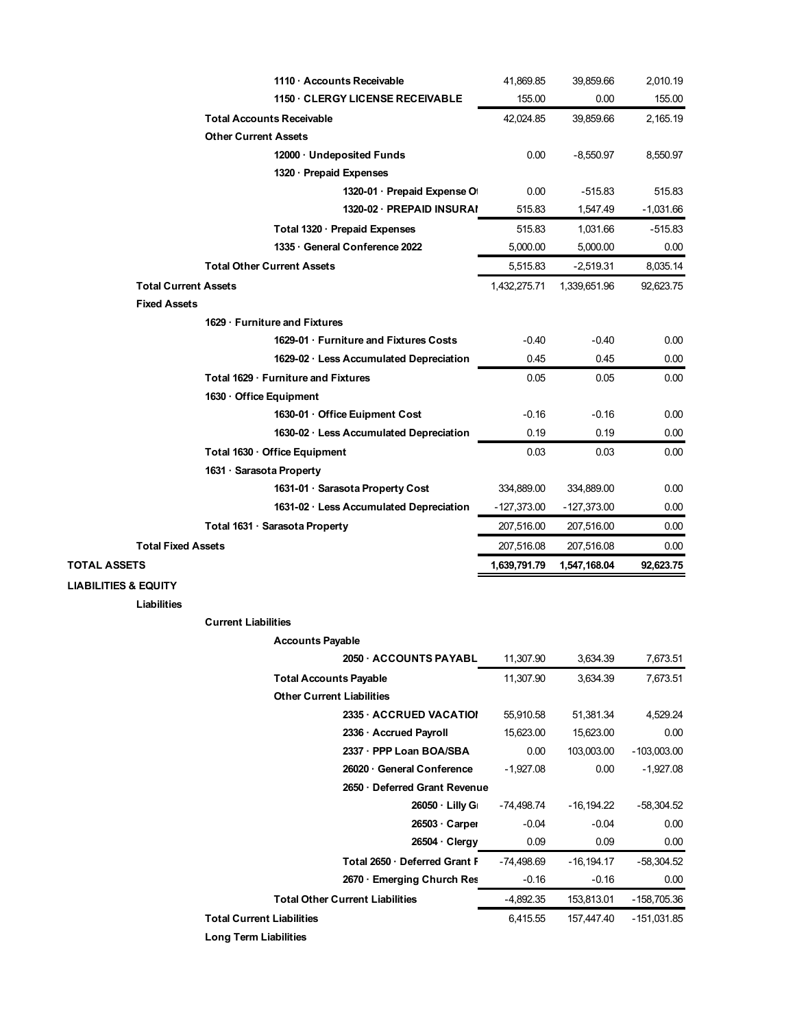|                                 |                                     | 1110 Accounts Receivable                | 41,869.85     | 39,859.66     | 2,010.19      |
|---------------------------------|-------------------------------------|-----------------------------------------|---------------|---------------|---------------|
|                                 |                                     | <b>1150 CLERGY LICENSE RECEIVABLE</b>   | 155.00        | 0.00          | 155.00        |
|                                 | <b>Total Accounts Receivable</b>    |                                         | 42.024.85     | 39,859.66     | 2,165.19      |
|                                 | <b>Other Current Assets</b>         |                                         |               |               |               |
|                                 |                                     | 12000 · Undeposited Funds               | 0.00          | $-8,550.97$   | 8,550.97      |
|                                 |                                     | 1320 · Prepaid Expenses                 |               |               |               |
|                                 |                                     | 1320-01 · Prepaid Expense Of            | 0.00          | $-515.83$     | 515.83        |
|                                 |                                     | 1320-02 · PREPAID INSURAI               | 515.83        | 1,547.49      | $-1,031.66$   |
|                                 |                                     | Total 1320 · Prepaid Expenses           | 515.83        | 1,031.66      | $-515.83$     |
|                                 |                                     | 1335 General Conference 2022            | 5,000.00      | 5,000.00      | 0.00          |
|                                 | <b>Total Other Current Assets</b>   |                                         | 5,515.83      | $-2,519.31$   | 8,035.14      |
| <b>Total Current Assets</b>     |                                     |                                         | 1,432,275.71  | 1,339,651.96  | 92,623.75     |
| <b>Fixed Assets</b>             |                                     |                                         |               |               |               |
|                                 | 1629 · Furniture and Fixtures       |                                         |               |               |               |
|                                 |                                     | 1629-01 Furniture and Fixtures Costs    | $-0.40$       | $-0.40$       | 0.00          |
|                                 |                                     | 1629-02 · Less Accumulated Depreciation | 0.45          | 0.45          | 0.00          |
|                                 | Total 1629 · Furniture and Fixtures |                                         | 0.05          | 0.05          | 0.00          |
|                                 | 1630 Office Equipment               |                                         |               |               |               |
|                                 |                                     | 1630-01 Office Euipment Cost            | $-0.16$       | $-0.16$       | 0.00          |
|                                 |                                     | 1630-02 · Less Accumulated Depreciation | 0.19          | 0.19          | 0.00          |
|                                 | Total 1630 · Office Equipment       |                                         | 0.03          | 0.03          | 0.00          |
|                                 | 1631 · Sarasota Property            |                                         |               |               |               |
|                                 |                                     | 1631-01 · Sarasota Property Cost        | 334,889.00    | 334,889.00    | 0.00          |
|                                 |                                     | 1631-02 · Less Accumulated Depreciation | $-127,373.00$ | $-127,373.00$ | 0.00          |
|                                 | Total 1631 · Sarasota Property      |                                         | 207,516.00    | 207,516.00    | 0.00          |
| <b>Total Fixed Assets</b>       |                                     |                                         | 207,516.08    | 207,516.08    | 0.00          |
| <b>TOTAL ASSETS</b>             |                                     |                                         | 1,639,791.79  | 1,547,168.04  | 92,623.75     |
| <b>LIABILITIES &amp; EQUITY</b> |                                     |                                         |               |               |               |
| Liabilities                     |                                     |                                         |               |               |               |
|                                 | <b>Current Liabilities</b>          |                                         |               |               |               |
|                                 |                                     | <b>Accounts Payable</b>                 |               |               |               |
|                                 |                                     | 2050 · ACCOUNTS PAYABL                  | 11,307.90     | 3,634.39      | 7,673.51      |
|                                 |                                     | <b>Total Accounts Payable</b>           | 11,307.90     | 3,634.39      | 7,673.51      |
|                                 |                                     | <b>Other Current Liabilities</b>        |               |               |               |
|                                 |                                     | 2335 ACCRUED VACATION                   | 55,910.58     | 51,381.34     | 4,529.24      |
|                                 |                                     | 2336 · Accrued Payroll                  | 15,623.00     | 15,623.00     | 0.00          |
|                                 |                                     | 2337 · PPP Loan BOA/SBA                 | 0.00          | 103,003.00    | $-103,003.00$ |
|                                 |                                     | 26020 General Conference                | $-1,927.08$   | 0.00          | $-1,927.08$   |
|                                 |                                     |                                         |               |               |               |
|                                 |                                     | 2650 Deferred Grant Revenue             |               |               |               |
|                                 |                                     | 26050 Lilly Gr                          | -74,498.74    | $-16, 194.22$ | $-58,304.52$  |
|                                 |                                     | 26503 Carper                            | $-0.04$       | $-0.04$       | 0.00          |
|                                 |                                     | 26504 Clergy                            | 0.09          | 0.09          | 0.00          |
|                                 |                                     | Total 2650 Deferred Grant F             | $-74,498.69$  | $-16, 194.17$ | $-58,304.52$  |
|                                 |                                     | 2670 · Emerging Church Res              | $-0.16$       | $-0.16$       | 0.00          |
|                                 |                                     | <b>Total Other Current Liabilities</b>  | $-4,892.35$   | 153,813.01    | $-158,705.36$ |
|                                 | <b>Total Current Liabilities</b>    |                                         | 6,415.55      | 157,447.40    | -151,031.85   |
|                                 | <b>Long Term Liabilities</b>        |                                         |               |               |               |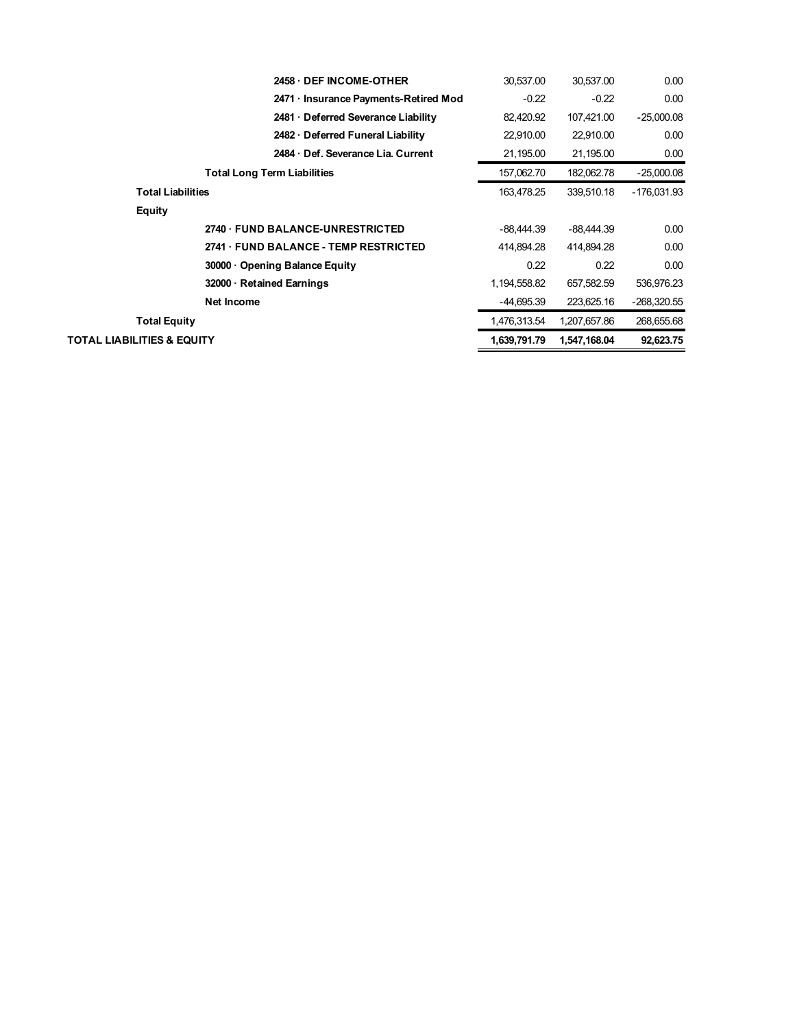|                            | 2458 DEF INCOME OTHER                 | 30.537.00    | 30,537.00    | 0.00          |
|----------------------------|---------------------------------------|--------------|--------------|---------------|
|                            | 2471 · Insurance Payments-Retired Mod | $-0.22$      | $-0.22$      | 0.00          |
|                            | 2481 Deferred Severance Liability     | 82,420.92    | 107,421.00   | $-25,000.08$  |
|                            | 2482 Deferred Funeral Liability       | 22,910.00    | 22,910.00    | 0.00          |
|                            | 2484 Def. Severance Lia. Current      | 21,195.00    | 21,195.00    | 0.00          |
|                            | <b>Total Long Term Liabilities</b>    | 157,062.70   | 182,062.78   | $-25,000.08$  |
|                            | <b>Total Liabilities</b>              | 163,478.25   | 339,510.18   | -176,031.93   |
| Equity                     |                                       |              |              |               |
|                            | 2740 FUND BALANCE-UNRESTRICTED        | $-88.444.39$ | $-88.444.39$ | 0.00          |
|                            | 2741 FUND BALANCE - TEMP RESTRICTED   | 414.894.28   | 414.894.28   | 0.00          |
|                            | 30000 Opening Balance Equity          | 0.22         | 0.22         | 0.00          |
|                            | 32000 · Retained Earnings             | 1,194,558.82 | 657,582.59   | 536,976.23    |
|                            | Net Income                            | $-44,695.39$ | 223,625.16   | $-268,320.55$ |
|                            | Total Equity                          | 1,476,313.54 | 1,207,657.86 | 268,655.68    |
| TOTAL LIABILITIES & EQUITY |                                       | 1,639,791.79 | 1,547,168.04 | 92,623.75     |
|                            |                                       |              |              |               |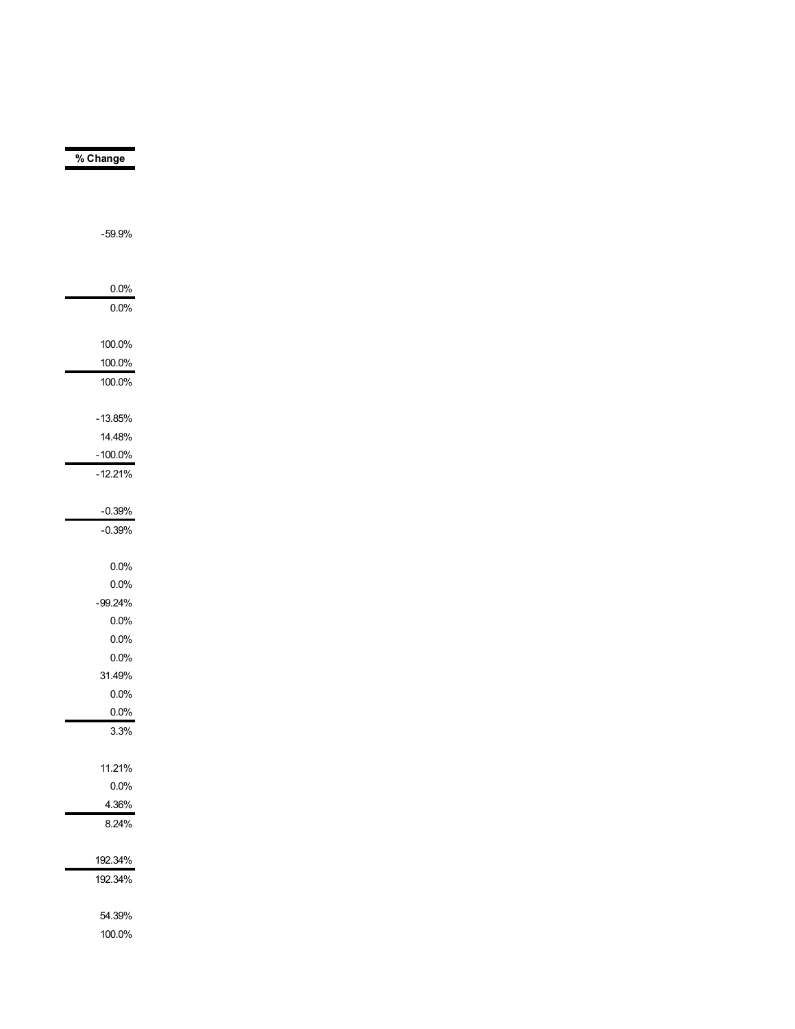| % Change   |  |
|------------|--|
|            |  |
|            |  |
|            |  |
| $-59.9%$   |  |
|            |  |
|            |  |
| 0.0%       |  |
| 0.0%       |  |
|            |  |
| 100.0%     |  |
| 100.0%     |  |
| 100.0%     |  |
|            |  |
| $-13.85%$  |  |
| 14.48%     |  |
| $-100.0\%$ |  |
| $-12.21%$  |  |
|            |  |
| $-0.39%$   |  |
| $-0.39%$   |  |
|            |  |
| 0.0%       |  |
| 0.0%       |  |
| $-99.24%$  |  |
| 0.0%       |  |
| 0.0%       |  |
| 0.0%       |  |
| 31.49%     |  |
| 0.0%       |  |
| 0.0%       |  |
| 3.3%       |  |
|            |  |
| 11.21%     |  |
| 0.0%       |  |
| 4.36%      |  |
| 8.24%      |  |
|            |  |
|            |  |
| 192.34%    |  |
| 192.34%    |  |
|            |  |
| 54.39%     |  |

100.0%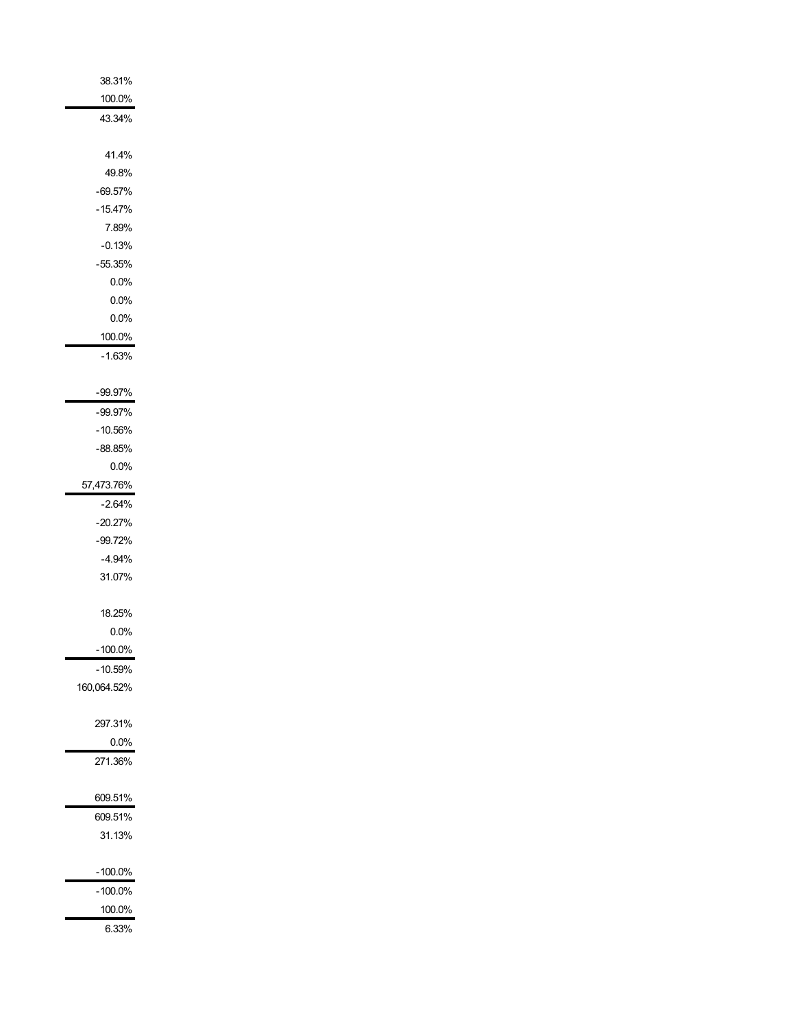| 38.31%      |
|-------------|
| 100.0%      |
| 43.34%      |
|             |
| 41.4%       |
| 49.8%       |
| $-69.57%$   |
| $-15.47%$   |
| 7.89%       |
| -0.13%      |
| $-55.35%$   |
| 0.0%        |
| 0.0%        |
| 0.0%        |
| 100.0%      |
| $-1.63%$    |
|             |
| $-99.97\%$  |
| -99.97%     |
| -10.56%     |
|             |
| -88.85%     |
| $0.0\%$     |
| 57,473.76%  |
| $-2.64%$    |
| $-20.27%$   |
| $-99.72%$   |
| $-4.94%$    |
| 31.07%      |
|             |
| 18.25%      |
| 0.0%        |
| $-100.0\%$  |
| $-10.59%$   |
| 160,064.52% |
|             |
| 297.31%     |
| 0.0%        |
| 271.36%     |
|             |
| 609.51%     |
| 609.51%     |
| 31.13%      |
|             |
| -100.0%     |
| -100.0%     |
| 100.0%      |
| 6.33%       |
|             |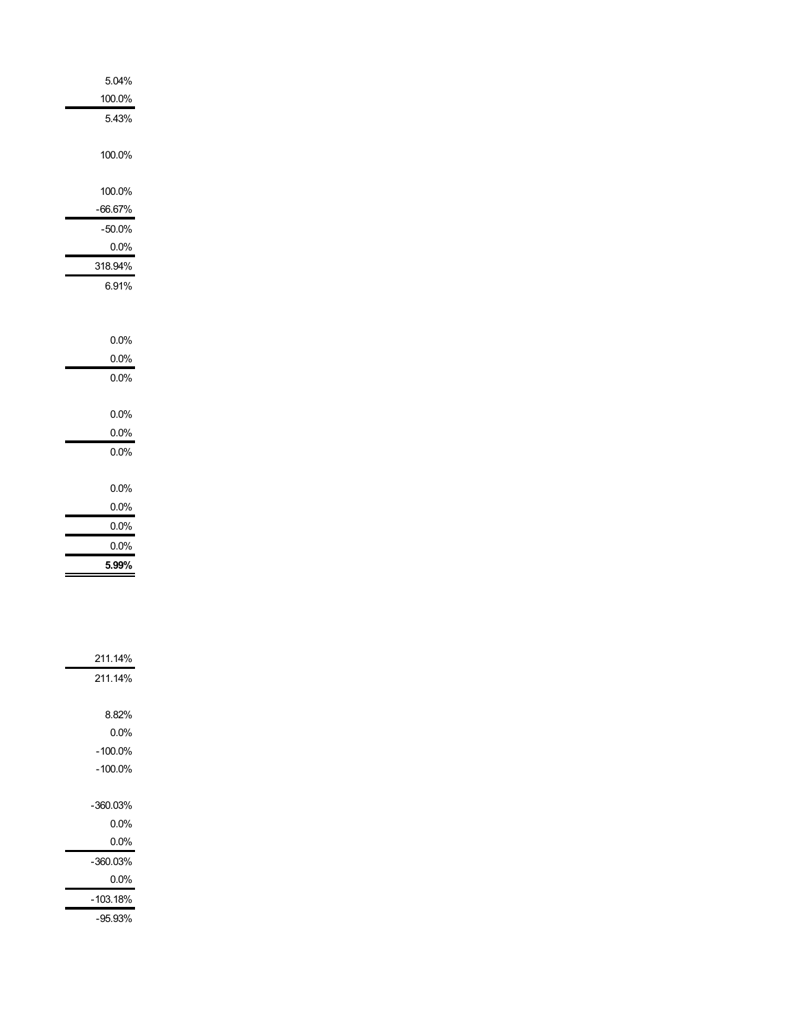| 5.04%     |
|-----------|
| 100.0%    |
| 5.43%     |
|           |
| 100.0%    |
|           |
| 100.0%    |
| $-66.67%$ |
| $-50.0\%$ |
| $0.0\%$   |
| 318.94%   |
| 6.91%     |
|           |
|           |
|           |
| 0.0%      |
| $0.0\%$   |
| 0.0%      |
|           |
| 0.0%      |
| $0.0\%$   |
| $0.0\%$   |
|           |
| 0.0%      |
| 0.0%      |
| 0.0%      |
| 0.0%      |
| 5.99%     |
|           |
|           |
|           |
|           |
|           |
| 211.14%   |

| 211.14%    |
|------------|
|            |
| 8.82%      |
| $0.0\%$    |
| $-100.0\%$ |
| $-100.0%$  |
|            |
| -360.03%   |
| 0.0%       |
| $0.0\%$    |
| -360.03%   |
| $0.0\%$    |
| -103.18%   |
| -95.93%    |